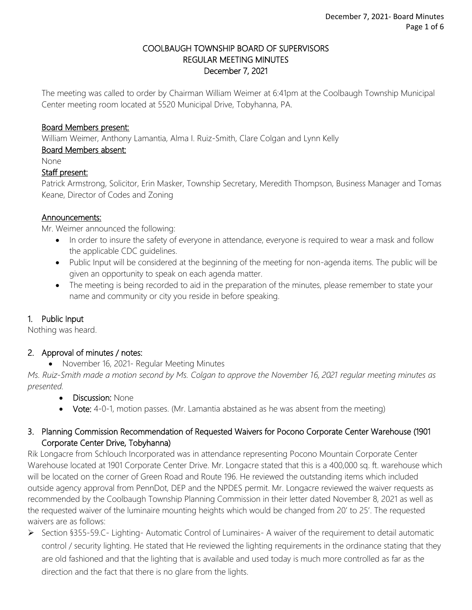#### COOLBAUGH TOWNSHIP BOARD OF SUPERVISORS REGULAR MEETING MINUTES December 7, 2021

The meeting was called to order by Chairman William Weimer at 6:41pm at the Coolbaugh Township Municipal Center meeting room located at 5520 Municipal Drive, Tobyhanna, PA.

#### Board Members present:

William Weimer, Anthony Lamantia, Alma I. Ruiz-Smith, Clare Colgan and Lynn Kelly

## Board Members absent:

None

#### Staff present:

Patrick Armstrong, Solicitor, Erin Masker, Township Secretary, Meredith Thompson, Business Manager and Tomas Keane, Director of Codes and Zoning

#### Announcements:

Mr. Weimer announced the following:

- In order to insure the safety of everyone in attendance, everyone is required to wear a mask and follow the applicable CDC guidelines.
- Public Input will be considered at the beginning of the meeting for non-agenda items. The public will be given an opportunity to speak on each agenda matter.
- The meeting is being recorded to aid in the preparation of the minutes, please remember to state your name and community or city you reside in before speaking.

### 1. Public Input

Nothing was heard.

### 2. Approval of minutes / notes:

• November 16, 2021- Regular Meeting Minutes

*Ms. Ruiz-Smith made a motion second by Ms. Colgan to approve the November 16, 2021 regular meeting minutes as presented.* 

- **Discussion: None**
- Vote: 4-0-1, motion passes. (Mr. Lamantia abstained as he was absent from the meeting)

## 3. Planning Commission Recommendation of Requested Waivers for Pocono Corporate Center Warehouse (1901 Corporate Center Drive, Tobyhanna)

Rik Longacre from Schlouch Incorporated was in attendance representing Pocono Mountain Corporate Center Warehouse located at 1901 Corporate Center Drive. Mr. Longacre stated that this is a 400,000 sq. ft. warehouse which will be located on the corner of Green Road and Route 196. He reviewed the outstanding items which included outside agency approval from PennDot, DEP and the NPDES permit. Mr. Longacre reviewed the waiver requests as recommended by the Coolbaugh Township Planning Commission in their letter dated November 8, 2021 as well as the requested waiver of the luminaire mounting heights which would be changed from 20' to 25'. The requested waivers are as follows:

➢ Section §355-59.C- Lighting- Automatic Control of Luminaires- A waiver of the requirement to detail automatic control / security lighting. He stated that He reviewed the lighting requirements in the ordinance stating that they are old fashioned and that the lighting that is available and used today is much more controlled as far as the direction and the fact that there is no glare from the lights.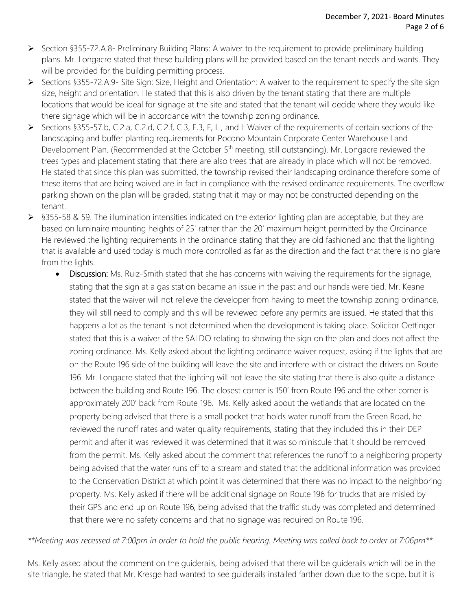- ➢ Section §355-72.A.8- Preliminary Building Plans: A waiver to the requirement to provide preliminary building plans. Mr. Longacre stated that these building plans will be provided based on the tenant needs and wants. They will be provided for the building permitting process.
- ➢ Sections §355-72.A.9- Site Sign: Size, Height and Orientation: A waiver to the requirement to specify the site sign size, height and orientation. He stated that this is also driven by the tenant stating that there are multiple locations that would be ideal for signage at the site and stated that the tenant will decide where they would like there signage which will be in accordance with the township zoning ordinance.
- ➢ Sections §355-57.b, C.2.a, C.2.d, C.2.f, C.3, E.3, F, H, and I: Waiver of the requirements of certain sections of the landscaping and buffer planting requirements for Pocono Mountain Corporate Center Warehouse Land Development Plan. (Recommended at the October 5<sup>th</sup> meeting, still outstanding). Mr. Longacre reviewed the trees types and placement stating that there are also trees that are already in place which will not be removed. He stated that since this plan was submitted, the township revised their landscaping ordinance therefore some of these items that are being waived are in fact in compliance with the revised ordinance requirements. The overflow parking shown on the plan will be graded, stating that it may or may not be constructed depending on the tenant.
- $\triangleright$  §355-58 & 59. The illumination intensities indicated on the exterior lighting plan are acceptable, but they are based on luminaire mounting heights of 25' rather than the 20' maximum height permitted by the Ordinance He reviewed the lighting requirements in the ordinance stating that they are old fashioned and that the lighting that is available and used today is much more controlled as far as the direction and the fact that there is no glare from the lights.
	- Discussion: Ms. Ruiz-Smith stated that she has concerns with waiving the requirements for the signage, stating that the sign at a gas station became an issue in the past and our hands were tied. Mr. Keane stated that the waiver will not relieve the developer from having to meet the township zoning ordinance, they will still need to comply and this will be reviewed before any permits are issued. He stated that this happens a lot as the tenant is not determined when the development is taking place. Solicitor Oettinger stated that this is a waiver of the SALDO relating to showing the sign on the plan and does not affect the zoning ordinance. Ms. Kelly asked about the lighting ordinance waiver request, asking if the lights that are on the Route 196 side of the building will leave the site and interfere with or distract the drivers on Route 196. Mr. Longacre stated that the lighting will not leave the site stating that there is also quite a distance between the building and Route 196. The closest corner is 150' from Route 196 and the other corner is approximately 200' back from Route 196. Ms. Kelly asked about the wetlands that are located on the property being advised that there is a small pocket that holds water runoff from the Green Road, he reviewed the runoff rates and water quality requirements, stating that they included this in their DEP permit and after it was reviewed it was determined that it was so miniscule that it should be removed from the permit. Ms. Kelly asked about the comment that references the runoff to a neighboring property being advised that the water runs off to a stream and stated that the additional information was provided to the Conservation District at which point it was determined that there was no impact to the neighboring property. Ms. Kelly asked if there will be additional signage on Route 196 for trucks that are misled by their GPS and end up on Route 196, being advised that the traffic study was completed and determined that there were no safety concerns and that no signage was required on Route 196.

*\*\*Meeting was recessed at 7:00pm in order to hold the public hearing. Meeting was called back to order at 7:06pm\*\**

Ms. Kelly asked about the comment on the guiderails, being advised that there will be guiderails which will be in the site triangle, he stated that Mr. Kresge had wanted to see guiderails installed farther down due to the slope, but it is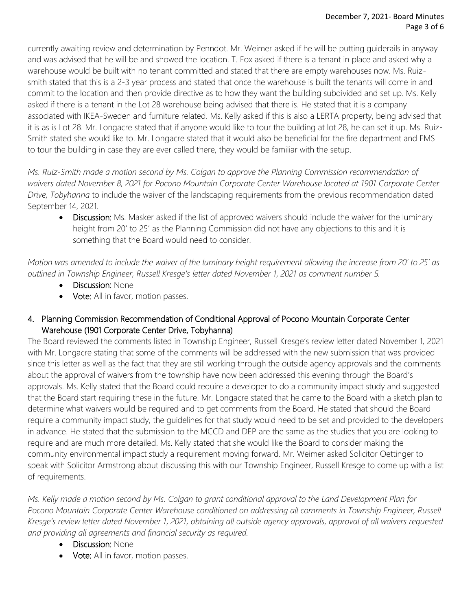currently awaiting review and determination by Penndot. Mr. Weimer asked if he will be putting guiderails in anyway and was advised that he will be and showed the location. T. Fox asked if there is a tenant in place and asked why a warehouse would be built with no tenant committed and stated that there are empty warehouses now. Ms. Ruizsmith stated that this is a 2-3 year process and stated that once the warehouse is built the tenants will come in and commit to the location and then provide directive as to how they want the building subdivided and set up. Ms. Kelly asked if there is a tenant in the Lot 28 warehouse being advised that there is. He stated that it is a company associated with IKEA-Sweden and furniture related. Ms. Kelly asked if this is also a LERTA property, being advised that it is as is Lot 28. Mr. Longacre stated that if anyone would like to tour the building at lot 28, he can set it up. Ms. Ruiz-Smith stated she would like to. Mr. Longacre stated that it would also be beneficial for the fire department and EMS to tour the building in case they are ever called there, they would be familiar with the setup.

*Ms. Ruiz-Smith made a motion second by Ms. Colgan to approve the Planning Commission recommendation of waivers dated November 8, 2021 for Pocono Mountain Corporate Center Warehouse located at 1901 Corporate Center Drive, Tobyhanna* to include the waiver of the landscaping requirements from the previous recommendation dated September 14, 2021.

• Discussion: Ms. Masker asked if the list of approved waivers should include the waiver for the luminary height from 20' to 25' as the Planning Commission did not have any objections to this and it is something that the Board would need to consider.

*Motion was amended to include the waiver of the luminary height requirement allowing the increase from 20' to 25' as outlined in Township Engineer, Russell Kresge's letter dated November 1, 2021 as comment number 5.* 

- Discussion: None
- Vote: All in favor, motion passes.

# 4. Planning Commission Recommendation of Conditional Approval of Pocono Mountain Corporate Center Warehouse (1901 Corporate Center Drive, Tobyhanna)

The Board reviewed the comments listed in Township Engineer, Russell Kresge's review letter dated November 1, 2021 with Mr. Longacre stating that some of the comments will be addressed with the new submission that was provided since this letter as well as the fact that they are still working through the outside agency approvals and the comments about the approval of waivers from the township have now been addressed this evening through the Board's approvals. Ms. Kelly stated that the Board could require a developer to do a community impact study and suggested that the Board start requiring these in the future. Mr. Longacre stated that he came to the Board with a sketch plan to determine what waivers would be required and to get comments from the Board. He stated that should the Board require a community impact study, the guidelines for that study would need to be set and provided to the developers in advance. He stated that the submission to the MCCD and DEP are the same as the studies that you are looking to require and are much more detailed. Ms. Kelly stated that she would like the Board to consider making the community environmental impact study a requirement moving forward. Mr. Weimer asked Solicitor Oettinger to speak with Solicitor Armstrong about discussing this with our Township Engineer, Russell Kresge to come up with a list of requirements.

*Ms. Kelly made a motion second by Ms. Colgan to grant conditional approval to the Land Development Plan for Pocono Mountain Corporate Center Warehouse conditioned on addressing all comments in Township Engineer, Russell Kresge's review letter dated November 1, 2021, obtaining all outside agency approvals, approval of all waivers requested and providing all agreements and financial security as required.* 

- **Discussion: None**
- Vote: All in favor, motion passes.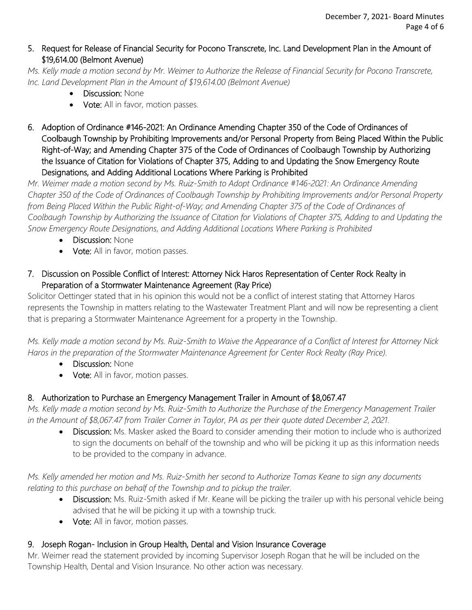## 5. Request for Release of Financial Security for Pocono Transcrete, Inc. Land Development Plan in the Amount of \$19,614.00 (Belmont Avenue)

*Ms. Kelly made a motion second by Mr. Weimer to Authorize the Release of Financial Security for Pocono Transcrete, Inc. Land Development Plan in the Amount of \$19,614.00 (Belmont Avenue)*

- Discussion: None
- Vote: All in favor, motion passes.
- 6. Adoption of Ordinance #146-2021: An Ordinance Amending Chapter 350 of the Code of Ordinances of Coolbaugh Township by Prohibiting Improvements and/or Personal Property from Being Placed Within the Public Right-of-Way; and Amending Chapter 375 of the Code of Ordinances of Coolbaugh Township by Authorizing the Issuance of Citation for Violations of Chapter 375, Adding to and Updating the Snow Emergency Route Designations, and Adding Additional Locations Where Parking is Prohibited

*Mr. Weimer made a motion second by Ms. Ruiz-Smith to Adopt Ordinance #146-2021: An Ordinance Amending Chapter 350 of the Code of Ordinances of Coolbaugh Township by Prohibiting Improvements and/or Personal Property from Being Placed Within the Public Right-of-Way; and Amending Chapter 375 of the Code of Ordinances of Coolbaugh Township by Authorizing the Issuance of Citation for Violations of Chapter 375, Adding to and Updating the Snow Emergency Route Designations, and Adding Additional Locations Where Parking is Prohibited*

- Discussion: None
- Vote: All in favor, motion passes.
- 7. Discussion on Possible Conflict of Interest: Attorney Nick Haros Representation of Center Rock Realty in Preparation of a Stormwater Maintenance Agreement (Ray Price)

Solicitor Oettinger stated that in his opinion this would not be a conflict of interest stating that Attorney Haros represents the Township in matters relating to the Wastewater Treatment Plant and will now be representing a client that is preparing a Stormwater Maintenance Agreement for a property in the Township.

*Ms. Kelly made a motion second by Ms. Ruiz-Smith to Waive the Appearance of a Conflict of Interest for Attorney Nick Haros in the preparation of the Stormwater Maintenance Agreement for Center Rock Realty (Ray Price).*

- Discussion: None
- Vote: All in favor, motion passes.

# 8. Authorization to Purchase an Emergency Management Trailer in Amount of \$8,067.47

*Ms. Kelly made a motion second by Ms. Ruiz-Smith to Authorize the Purchase of the Emergency Management Trailer in the Amount of \$8,067.47 from Trailer Corner in Taylor, PA as per their quote dated December 2, 2021.* 

• Discussion: Ms. Masker asked the Board to consider amending their motion to include who is authorized to sign the documents on behalf of the township and who will be picking it up as this information needs to be provided to the company in advance.

*Ms. Kelly amended her motion and Ms. Ruiz-Smith her second to Authorize Tomas Keane to sign any documents*  relating to this purchase on behalf of the Township and to pickup the trailer.

- Discussion: Ms. Ruiz-Smith asked if Mr. Keane will be picking the trailer up with his personal vehicle being advised that he will be picking it up with a township truck.
- Vote: All in favor, motion passes.

# 9. Joseph Rogan- Inclusion in Group Health, Dental and Vision Insurance Coverage

Mr. Weimer read the statement provided by incoming Supervisor Joseph Rogan that he will be included on the Township Health, Dental and Vision Insurance. No other action was necessary.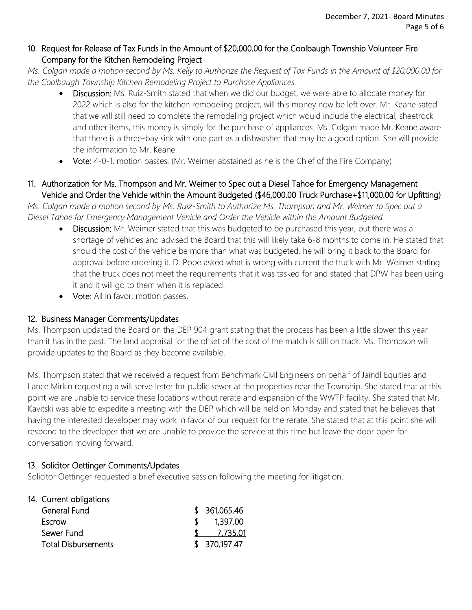## 10. Request for Release of Tax Funds in the Amount of \$20,000.00 for the Coolbaugh Township Volunteer Fire Company for the Kitchen Remodeling Project

*Ms. Colgan made a motion second by Ms. Kelly to Authorize the Request of Tax Funds in the Amount of \$20,000.00 for the Coolbaugh Township Kitchen Remodeling Project to Purchase Appliances.*

- Discussion: Ms. Ruiz-Smith stated that when we did our budget, we were able to allocate money for 2022 which is also for the kitchen remodeling project, will this money now be left over. Mr. Keane sated that we will still need to complete the remodeling project which would include the electrical, sheetrock and other items, this money is simply for the purchase of appliances. Ms. Colgan made Mr. Keane aware that there is a three-bay sink with one part as a dishwasher that may be a good option. She will provide the information to Mr. Keane.
- Vote: 4-0-1, motion passes. (Mr. Weimer abstained as he is the Chief of the Fire Company)

## 11. Authorization for Ms. Thompson and Mr. Weimer to Spec out a Diesel Tahoe for Emergency Management Vehicle and Order the Vehicle within the Amount Budgeted (\$46,000.00 Truck Purchase+\$11,000.00 for Upfitting)

*Ms. Colgan made a motion second by Ms. Ruiz-Smith to Authorize Ms. Thompson and Mr. Weimer to Spec out a Diesel Tahoe for Emergency Management Vehicle and Order the Vehicle within the Amount Budgeted.*

- Discussion: Mr. Weimer stated that this was budgeted to be purchased this year, but there was a shortage of vehicles and advised the Board that this will likely take 6-8 months to come in. He stated that should the cost of the vehicle be more than what was budgeted, he will bring it back to the Board for approval before ordering it. D. Pope asked what is wrong with current the truck with Mr. Weimer stating that the truck does not meet the requirements that it was tasked for and stated that DPW has been using it and it will go to them when it is replaced.
- Vote: All in favor, motion passes.

### 12. Business Manager Comments/Updates

Ms. Thompson updated the Board on the DEP 904 grant stating that the process has been a little slower this year than it has in the past. The land appraisal for the offset of the cost of the match is still on track. Ms. Thompson will provide updates to the Board as they become available.

Ms. Thompson stated that we received a request from Benchmark Civil Engineers on behalf of Jaindl Equities and Lance Mirkin requesting a will serve letter for public sewer at the properties near the Township. She stated that at this point we are unable to service these locations without rerate and expansion of the WWTP facility. She stated that Mr. Kavitski was able to expedite a meeting with the DEP which will be held on Monday and stated that he believes that having the interested developer may work in favor of our request for the rerate. She stated that at this point she will respond to the developer that we are unable to provide the service at this time but leave the door open for conversation moving forward.

### 13. Solicitor Oettinger Comments/Updates

Solicitor Oettinger requested a brief executive session following the meeting for litigation.

| 14. Current obligations    |               |
|----------------------------|---------------|
| General Fund               | \$361,065.46  |
| Escrow                     | 1,397.00      |
| Sewer Fund                 | 7,735.01      |
| <b>Total Disbursements</b> | \$ 370,197.47 |